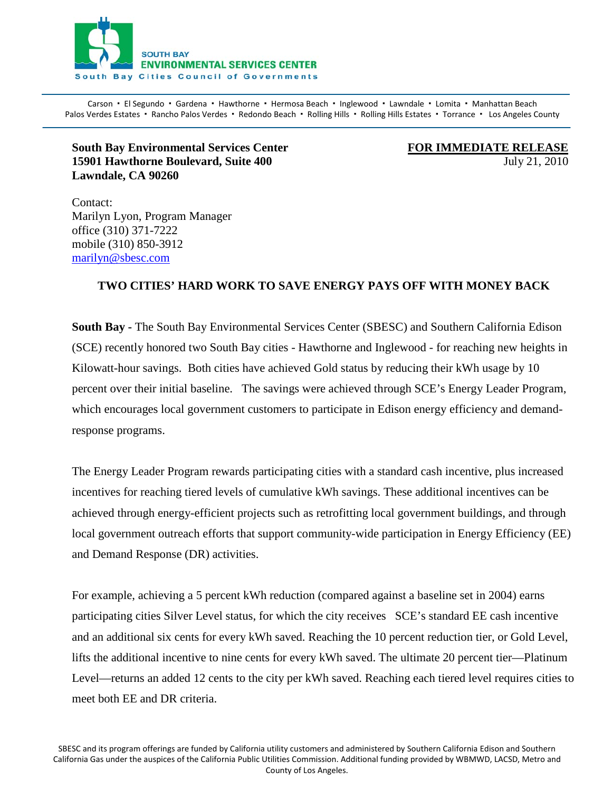

Carson · El Segundo · Gardena · Hawthorne · Hermosa Beach · Inglewood · Lawndale · Lomita · Manhattan Beach Palos Verdes Estates · Rancho Palos Verdes · Redondo Beach · Rolling Hills · Rolling Hills Estates · Torrance · Los Angeles County  $\mathbf{a}$ 

## **South Bay Environmental Services Center 15901 Hawthorne Boulevard, Suite 400 July 21, 2010** *July 21, 2010* **Lawndale, CA 90260**

**FOR IMMEDIATE RELEASE**

Contact: Marilyn Lyon, Program Manager office (310) 371-7222 mobile (310) 850-3912 [marilyn@sbesc.com](mailto:marilyn@sbesc.com)

## **TWO CITIES' HARD WORK TO SAVE ENERGY PAYS OFF WITH MONEY BACK**

**South Bay -** The South Bay Environmental Services Center (SBESC) and Southern California Edison (SCE) recently honored two South Bay cities - Hawthorne and Inglewood - for reaching new heights in Kilowatt-hour savings. Both cities have achieved Gold status by reducing their kWh usage by 10 percent over their initial baseline. The savings were achieved through SCE's Energy Leader Program, which encourages local government customers to participate in Edison energy efficiency and demandresponse programs.

The Energy Leader Program rewards participating cities with a standard cash incentive, plus increased incentives for reaching tiered levels of cumulative kWh savings. These additional incentives can be achieved through energy-efficient projects such as retrofitting local government buildings, and through local government outreach efforts that support community-wide participation in Energy Efficiency (EE) and Demand Response (DR) activities.

For example, achieving a 5 percent kWh reduction (compared against a baseline set in 2004) earns participating cities Silver Level status, for which the city receives SCE's standard EE cash incentive and an additional six cents for every kWh saved. Reaching the 10 percent reduction tier, or Gold Level, lifts the additional incentive to nine cents for every kWh saved. The ultimate 20 percent tier—Platinum Level—returns an added 12 cents to the city per kWh saved. Reaching each tiered level requires cities to meet both EE and DR criteria.